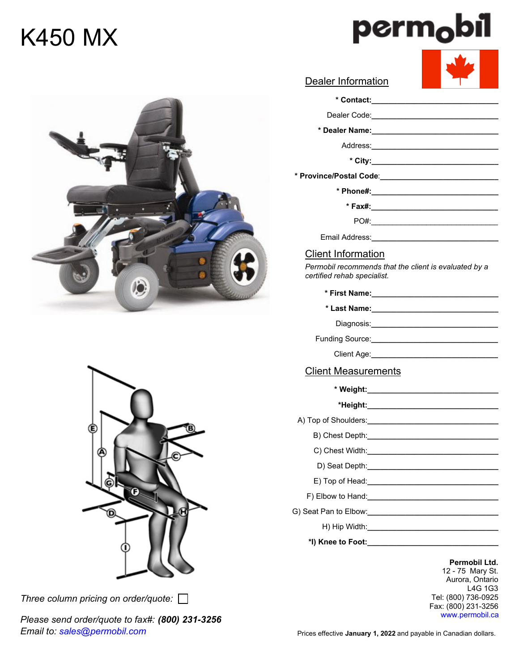# K450 MX





*Three column pricing on order/quote:* 

*Please send order/quote to fax#: (800) 231-3256 Email to: sales@permobil.com*

| <b>Dealer Information</b>                                                                                      |
|----------------------------------------------------------------------------------------------------------------|
|                                                                                                                |
| Dealer Code:_______________________________                                                                    |
|                                                                                                                |
|                                                                                                                |
|                                                                                                                |
|                                                                                                                |
| * Phone#:___________________________________                                                                   |
|                                                                                                                |
|                                                                                                                |
|                                                                                                                |
| <b>Client Information</b>                                                                                      |
| Permobil recommends that the client is evaluated by a<br>certified rehab specialist.                           |
|                                                                                                                |
| * Last Name: ___________________________                                                                       |
|                                                                                                                |
|                                                                                                                |
|                                                                                                                |
| <b>Client Measurements</b>                                                                                     |
| * Weight:_____________________________                                                                         |
|                                                                                                                |
|                                                                                                                |
|                                                                                                                |
| C) Chest Width:                                                                                                |
| D) Seat Depth: <b>Example 20</b> Seat Depth:                                                                   |
| E) Top of Head:________________________________                                                                |
|                                                                                                                |
| G) Seat Pan to Elbow:_________________________________                                                         |
|                                                                                                                |
| *I) Knee to Foot: Manual Annual Annual Annual Annual Annual Annual Annual Annual Annual Annual Annual Annual A |
|                                                                                                                |

**Permobil Ltd.** 12 - 75 Mary St. Aurora, Ontario L4G 1G3 Tel: (800) 736-0925 Fax: (800) 231-3256 www.permobil.ca



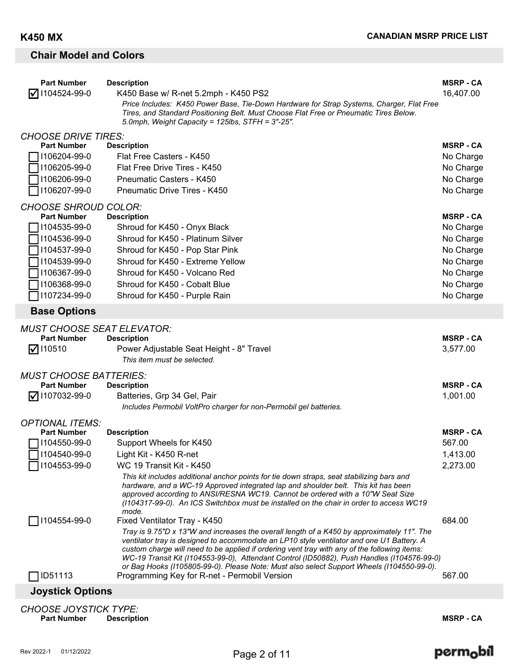# **Chair Model and Colors**

| <b>Part Number</b>                 | <b>Description</b>                                                                                                                                                                      | <b>MSRP - CA</b>       |  |
|------------------------------------|-----------------------------------------------------------------------------------------------------------------------------------------------------------------------------------------|------------------------|--|
| $\sqrt{ }$ 1104524-99-0            | K450 Base w/ R-net 5.2mph - K450 PS2<br>Price Includes: K450 Power Base, Tie-Down Hardware for Strap Systems, Charger, Flat Free                                                        | 16,407.00              |  |
|                                    | Tires, and Standard Positioning Belt. Must Choose Flat Free or Pneumatic Tires Below.<br>5.0mph, Weight Capacity = 125lbs, STFH = 3"-25".                                               |                        |  |
| <b>CHOOSE DRIVE TIRES:</b>         |                                                                                                                                                                                         |                        |  |
| <b>Part Number</b>                 | <b>Description</b>                                                                                                                                                                      | <b>MSRP - CA</b>       |  |
| 1106204-99-0                       | Flat Free Casters - K450                                                                                                                                                                | No Charge              |  |
| 1106205-99-0                       | Flat Free Drive Tires - K450                                                                                                                                                            | No Charge              |  |
| 1106206-99-0<br>1106207-99-0       | Pneumatic Casters - K450                                                                                                                                                                | No Charge              |  |
|                                    | Pneumatic Drive Tires - K450                                                                                                                                                            | No Charge              |  |
| <b>CHOOSE SHROUD COLOR:</b>        |                                                                                                                                                                                         |                        |  |
| <b>Part Number</b>                 | <b>Description</b>                                                                                                                                                                      | <b>MSRP - CA</b>       |  |
| 1104535-99-0<br>1104536-99-0       | Shroud for K450 - Onyx Black<br>Shroud for K450 - Platinum Silver                                                                                                                       | No Charge<br>No Charge |  |
| 1104537-99-0                       | Shroud for K450 - Pop Star Pink                                                                                                                                                         | No Charge              |  |
| 1104539-99-0                       | Shroud for K450 - Extreme Yellow                                                                                                                                                        | No Charge              |  |
| 1106367-99-0                       | Shroud for K450 - Volcano Red                                                                                                                                                           | No Charge              |  |
| 1106368-99-0                       | Shroud for K450 - Cobalt Blue                                                                                                                                                           | No Charge              |  |
| 1107234-99-0                       | Shroud for K450 - Purple Rain                                                                                                                                                           | No Charge              |  |
| <b>Base Options</b>                |                                                                                                                                                                                         |                        |  |
| <b>MUST CHOOSE SEAT ELEVATOR:</b>  |                                                                                                                                                                                         |                        |  |
| <b>Part Number</b>                 | <b>Description</b>                                                                                                                                                                      | <b>MSRP - CA</b>       |  |
| $\nabla$ 110510                    | Power Adjustable Seat Height - 8" Travel                                                                                                                                                | 3,577.00               |  |
|                                    | This item must be selected.                                                                                                                                                             |                        |  |
| <b>MUST CHOOSE BATTERIES:</b>      |                                                                                                                                                                                         |                        |  |
| <b>Part Number</b>                 | <b>Description</b>                                                                                                                                                                      | <b>MSRP - CA</b>       |  |
| $\sqrt{ }$ 1107032-99-0            | Batteries, Grp 34 Gel, Pair<br>Includes Permobil VoltPro charger for non-Permobil gel batteries.                                                                                        | 1,001.00               |  |
|                                    |                                                                                                                                                                                         |                        |  |
| <b>OPTIONAL ITEMS:</b>             |                                                                                                                                                                                         | <b>MSRP - CA</b>       |  |
| <b>Part Number</b><br>1104550-99-0 | <b>Description</b><br>Support Wheels for K450                                                                                                                                           | 567.00                 |  |
| $\Box$ I104540-99-0                | Light Kit - K450 R-net                                                                                                                                                                  | 1,413.00               |  |
| 1104553-99-0                       | WC 19 Transit Kit - K450                                                                                                                                                                | 2,273.00               |  |
|                                    | This kit includes additional anchor points for tie down straps, seat stabilizing bars and                                                                                               |                        |  |
|                                    | hardware, and a WC-19 Approved integrated lap and shoulder belt. This kit has been                                                                                                      |                        |  |
|                                    | approved according to ANSI/RESNA WC19. Cannot be ordered with a 10"W Seat Size<br>(1104317-99-0). An ICS Switchbox must be installed on the chair in order to access WC19               |                        |  |
|                                    | mode.                                                                                                                                                                                   |                        |  |
| 1104554-99-0                       | Fixed Ventilator Tray - K450                                                                                                                                                            | 684.00                 |  |
|                                    | Tray is 9.75"D x 13"W and increases the overall length of a K450 by approximately 11". The<br>ventilator tray is designed to accommodate an LP10 style ventilator and one U1 Battery. A |                        |  |
|                                    | custom charge will need to be applied if ordering vent tray with any of the following items:                                                                                            |                        |  |
|                                    | WC-19 Transit Kit (1104553-99-0), Attendant Control (ID50882), Push Handles (1104576-99-0)                                                                                              |                        |  |
| <b>ID51113</b>                     | or Bag Hooks (1105805-99-0). Please Note: Must also select Support Wheels (1104550-99-0).<br>Programming Key for R-net - Permobil Version                                               | 567.00                 |  |
| <b>Joystick Options</b>            |                                                                                                                                                                                         |                        |  |
| <b>CHOOSE JOYSTICK TYPE:</b>       |                                                                                                                                                                                         |                        |  |
| <b>Part Number</b>                 | <b>Description</b>                                                                                                                                                                      | <b>MSRP - CA</b>       |  |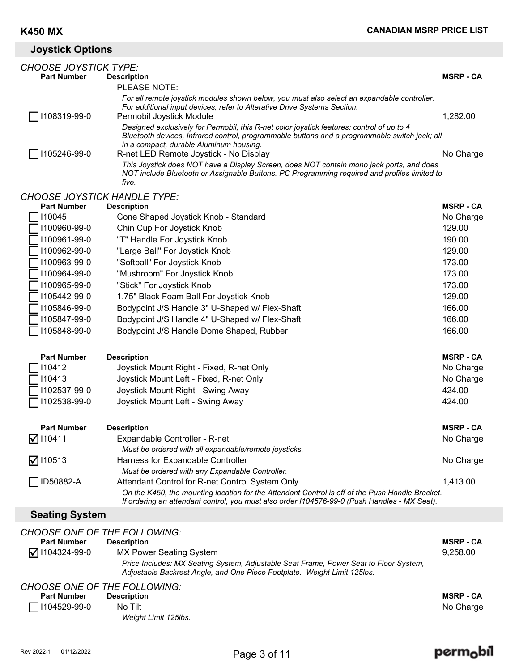# **Joystick Options**

| <b>CHOOSE JOYSTICK TYPE:</b>        |                                                                                                                                                                                          |                               |
|-------------------------------------|------------------------------------------------------------------------------------------------------------------------------------------------------------------------------------------|-------------------------------|
| <b>Part Number</b>                  | <b>Description</b>                                                                                                                                                                       | <b>MSRP - CA</b>              |
|                                     | PLEASE NOTE:                                                                                                                                                                             |                               |
|                                     | For all remote joystick modules shown below, you must also select an expandable controller.<br>For additional input devices, refer to Alterative Drive Systems Section.                  |                               |
| 1108319-99-0                        | Permobil Joystick Module                                                                                                                                                                 | 1,282.00                      |
|                                     | Designed exclusively for Permobil, this R-net color joystick features: control of up to 4                                                                                                |                               |
|                                     | Bluetooth devices, Infrared control, programmable buttons and a programmable switch jack; all                                                                                            |                               |
|                                     | in a compact, durable Aluminum housing.                                                                                                                                                  |                               |
| 1105246-99-0                        | R-net LED Remote Joystick - No Display                                                                                                                                                   | No Charge                     |
|                                     | This Joystick does NOT have a Display Screen, does NOT contain mono jack ports, and does<br>NOT include Bluetooth or Assignable Buttons. PC Programming required and profiles limited to |                               |
|                                     | five.                                                                                                                                                                                    |                               |
| <b>CHOOSE JOYSTICK HANDLE TYPE:</b> |                                                                                                                                                                                          |                               |
| <b>Part Number</b>                  | <b>Description</b>                                                                                                                                                                       | <b>MSRP - CA</b>              |
| 110045                              | Cone Shaped Joystick Knob - Standard                                                                                                                                                     | No Charge                     |
| 1100960-99-0                        | Chin Cup For Joystick Knob                                                                                                                                                               | 129.00                        |
| 1100961-99-0                        | "T" Handle For Joystick Knob                                                                                                                                                             | 190.00                        |
| 1100962-99-0                        | "Large Ball" For Joystick Knob                                                                                                                                                           | 129.00                        |
| 1100963-99-0                        | "Softball" For Joystick Knob                                                                                                                                                             | 173.00                        |
| 1100964-99-0                        | "Mushroom" For Joystick Knob                                                                                                                                                             | 173.00                        |
| 1100965-99-0                        | "Stick" For Joystick Knob                                                                                                                                                                | 173.00                        |
| 1105442-99-0                        | 1.75" Black Foam Ball For Joystick Knob                                                                                                                                                  | 129.00                        |
| 1105846-99-0                        | Bodypoint J/S Handle 3" U-Shaped w/ Flex-Shaft                                                                                                                                           | 166.00                        |
| 1105847-99-0                        | Bodypoint J/S Handle 4" U-Shaped w/ Flex-Shaft                                                                                                                                           | 166.00                        |
| 1105848-99-0                        | Bodypoint J/S Handle Dome Shaped, Rubber                                                                                                                                                 | 166.00                        |
|                                     |                                                                                                                                                                                          |                               |
| <b>Part Number</b><br>110412        | <b>Description</b>                                                                                                                                                                       | <b>MSRP - CA</b><br>No Charge |
| 110413                              | Joystick Mount Right - Fixed, R-net Only<br>Joystick Mount Left - Fixed, R-net Only                                                                                                      | No Charge                     |
| 1102537-99-0                        | Joystick Mount Right - Swing Away                                                                                                                                                        | 424.00                        |
| 1102538-99-0                        | Joystick Mount Left - Swing Away                                                                                                                                                         | 424.00                        |
|                                     |                                                                                                                                                                                          |                               |
| <b>Part Number</b>                  | <b>Description</b>                                                                                                                                                                       | <b>MSRP - CA</b>              |
| $\nabla$ 110411                     | Expandable Controller - R-net                                                                                                                                                            | No Charge                     |
|                                     | Must be ordered with all expandable/remote joysticks.                                                                                                                                    |                               |
| $\nabla$ 110513                     | Harness for Expandable Controller                                                                                                                                                        | No Charge                     |
|                                     | Must be ordered with any Expandable Controller.                                                                                                                                          |                               |
| ID50882-A                           | Attendant Control for R-net Control System Only                                                                                                                                          | 1,413.00                      |
|                                     | On the K450, the mounting location for the Attendant Control is off of the Push Handle Bracket.                                                                                          |                               |
|                                     | If ordering an attendant control, you must also order I104576-99-0 (Push Handles - MX Seat).                                                                                             |                               |
| <b>Seating System</b>               |                                                                                                                                                                                          |                               |
| <b>CHOOSE ONE OF THE FOLLOWING:</b> |                                                                                                                                                                                          |                               |
| <b>Part Number</b>                  | <b>Description</b>                                                                                                                                                                       | <b>MSRP - CA</b>              |
| 1104324-99-0<br>ΙVΙ                 | <b>MX Power Seating System</b>                                                                                                                                                           | 9,258.00                      |
|                                     | Price Includes: MX Seating System, Adjustable Seat Frame, Power Seat to Floor System,<br>Adjustable Backrest Angle, and One Piece Footplate. Weight Limit 125lbs.                        |                               |

### *CHOOSE ONE OF THE FOLLOWING:*

| <b>Part Number</b>  | <b>Description</b>   | <b>MSRP - CA</b> |
|---------------------|----------------------|------------------|
| $\Box$  104529-99-0 | No Tilt              | No Charge        |
|                     | Weight Limit 125lbs. |                  |

# perm<sub>o</sub>bil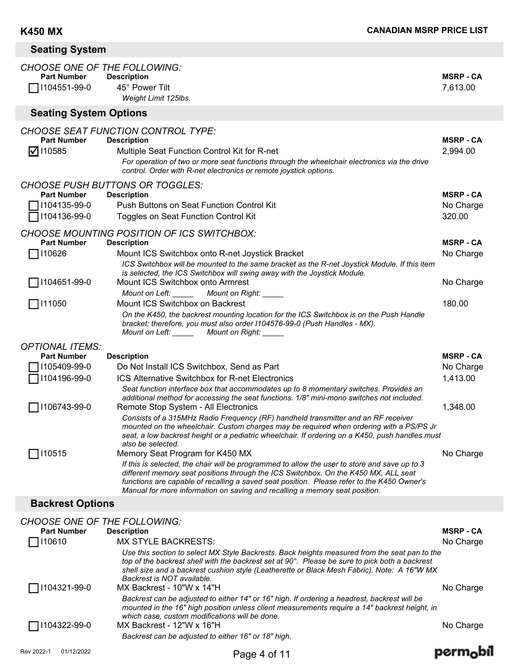| <b>Seating System</b>                                                     |                                                                                                                                                                                                                                                                                                                                                                   |                              |  |
|---------------------------------------------------------------------------|-------------------------------------------------------------------------------------------------------------------------------------------------------------------------------------------------------------------------------------------------------------------------------------------------------------------------------------------------------------------|------------------------------|--|
| <b>CHOOSE ONE OF THE FOLLOWING:</b><br><b>Part Number</b><br>1104551-99-0 | <b>Description</b><br>45° Power Tilt<br>Weight Limit 125lbs.                                                                                                                                                                                                                                                                                                      | <b>MSRP - CA</b><br>7,613.00 |  |
| <b>Seating System Options</b>                                             |                                                                                                                                                                                                                                                                                                                                                                   |                              |  |
| <b>Part Number</b><br>$\nabla$ 110585                                     | <b>CHOOSE SEAT FUNCTION CONTROL TYPE:</b><br><b>Description</b><br>Multiple Seat Function Control Kit for R-net<br>For operation of two or more seat functions through the wheelchair electronics via the drive<br>control. Order with R-net electronics or remote joystick options.                                                                              | <b>MSRP - CA</b><br>2,994.00 |  |
| <b>Part Number</b>                                                        | <b>CHOOSE PUSH BUTTONS OR TOGGLES:</b><br><b>Description</b>                                                                                                                                                                                                                                                                                                      | <b>MSRP - CA</b>             |  |
| 1104135-99-0<br>1104136-99-0                                              | Push Buttons on Seat Function Control Kit<br>Toggles on Seat Function Control Kit                                                                                                                                                                                                                                                                                 | No Charge<br>320.00          |  |
| <b>Part Number</b>                                                        | <b>CHOOSE MOUNTING POSITION OF ICS SWITCHBOX:</b><br><b>Description</b>                                                                                                                                                                                                                                                                                           | <b>MSRP - CA</b>             |  |
| 110626                                                                    | Mount ICS Switchbox onto R-net Joystick Bracket<br>ICS Switchbox will be mounted to the same bracket as the R-net Joystick Module. If this item<br>is selected, the ICS Switchbox will swing away with the Joystick Module.                                                                                                                                       | No Charge                    |  |
| 1104651-99-0                                                              | Mount ICS Switchbox onto Armrest<br>Mount on Left: ______<br>Mount on Right: _____                                                                                                                                                                                                                                                                                | No Charge                    |  |
| 7111050                                                                   | Mount ICS Switchbox on Backrest<br>On the K450, the backrest mounting location for the ICS Switchbox is on the Push Handle<br>bracket; therefore, you must also order I104576-99-0 (Push Handles - MX).<br>Mount on Left: ________ Mount on Right: ______                                                                                                         | 180.00                       |  |
| <b>OPTIONAL ITEMS:</b>                                                    |                                                                                                                                                                                                                                                                                                                                                                   |                              |  |
| <b>Part Number</b>                                                        | <b>Description</b>                                                                                                                                                                                                                                                                                                                                                | <b>MSRP - CA</b>             |  |
| 1105409-99-0                                                              | Do Not Install ICS Switchbox, Send as Part                                                                                                                                                                                                                                                                                                                        | No Charge                    |  |
| 1104196-99-0                                                              | <b>ICS Alternative Switchbox for R-net Electronics</b><br>Seat function interface box that accommodates up to 8 momentary switches. Provides an<br>additional method for accessing the seat functions. 1/8" mini-mono switches not included.                                                                                                                      | 1,413.00                     |  |
| 1106743-99-0                                                              | Remote Stop System - All Electronics<br>Consists of a 315MHz Radio Frequency (RF) handheld transmitter and an RF receiver<br>mounted on the wheelchair. Custom charges may be required when ordering with a PS/PS Jr<br>seat, a low backrest height or a pediatric wheelchair. If ordering on a K450, push handles must<br>also be selected.                      | 1,348.00                     |  |
| 110515                                                                    | Memory Seat Program for K450 MX                                                                                                                                                                                                                                                                                                                                   | No Charge                    |  |
|                                                                           | If this is selected, the chair will be programmed to allow the user to store and save up to 3<br>different memory seat positions through the ICS Switchbox. On the K450 MX, ALL seat<br>functions are capable of recalling a saved seat position. Please refer to the K450 Owner's<br>Manual for more information on saving and recalling a memory seat position. |                              |  |
| <b>Backrest Options</b>                                                   |                                                                                                                                                                                                                                                                                                                                                                   |                              |  |
|                                                                           |                                                                                                                                                                                                                                                                                                                                                                   |                              |  |

| <b>CHOOSE ONE OF THE FOLLOWING:</b> |                                                                                                                                                                                                                                                                                                                              |                  |
|-------------------------------------|------------------------------------------------------------------------------------------------------------------------------------------------------------------------------------------------------------------------------------------------------------------------------------------------------------------------------|------------------|
| <b>Part Number</b>                  | <b>Description</b>                                                                                                                                                                                                                                                                                                           | <b>MSRP - CA</b> |
| 110610                              | <b>MX STYLE BACKRESTS:</b>                                                                                                                                                                                                                                                                                                   | No Charge        |
|                                     | Use this section to select MX Style Backrests. Back heights measured from the seat pan to the<br>top of the backrest shell with the backrest set at 90°. Please be sure to pick both a backrest<br>shell size and a backrest cushion style (Leatherette or Black Mesh Fabric). Note: A 16"W MX<br>Backrest is NOT available. |                  |
| 71104321-99-0                       | MX Backrest - 10"W x 14"H                                                                                                                                                                                                                                                                                                    | No Charge        |
|                                     | Backrest can be adjusted to either 14" or 16" high. If ordering a headrest, backrest will be<br>mounted in the 16" high position unless client measurements require a 14" backrest height, in<br>which case, custom modifications will be done.                                                                              |                  |
| ̄   104322-99-0                     | MX Backrest - 12"W x 16"H                                                                                                                                                                                                                                                                                                    | No Charge        |
|                                     | Backrest can be adjusted to either 16" or 18" high.                                                                                                                                                                                                                                                                          |                  |
| Rev 2022-1<br>01/12/2022            | Page 4 of 11                                                                                                                                                                                                                                                                                                                 |                  |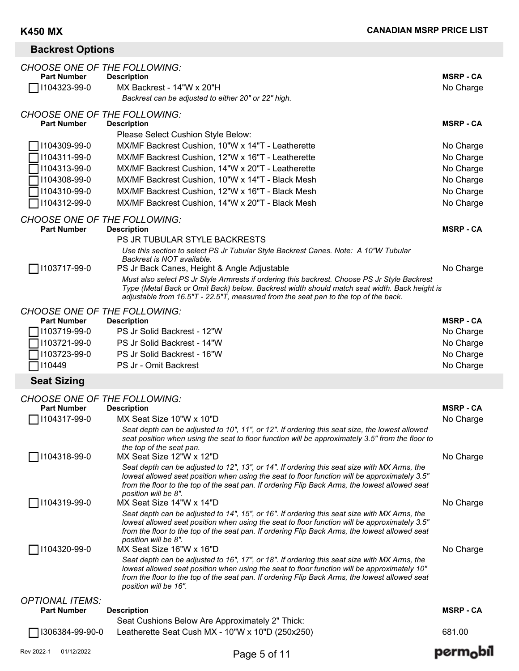# **Backrest Options**

| 1104323-99-0                                              | MX Backrest - 14"W x 20"H<br>Backrest can be adjusted to either 20" or 22" high.                                                                                                                                                                                                                                        | No Charge                     |
|-----------------------------------------------------------|-------------------------------------------------------------------------------------------------------------------------------------------------------------------------------------------------------------------------------------------------------------------------------------------------------------------------|-------------------------------|
| <b>CHOOSE ONE OF THE FOLLOWING:</b><br><b>Part Number</b> | <b>Description</b>                                                                                                                                                                                                                                                                                                      | <b>MSRP - CA</b>              |
|                                                           | Please Select Cushion Style Below:<br>MX/MF Backrest Cushion, 10"W x 14"T - Leatherette                                                                                                                                                                                                                                 |                               |
| 1104309-99-0<br>1104311-99-0                              | MX/MF Backrest Cushion, 12"W x 16"T - Leatherette                                                                                                                                                                                                                                                                       | No Charge<br>No Charge        |
| 1104313-99-0                                              | MX/MF Backrest Cushion, 14"W x 20"T - Leatherette                                                                                                                                                                                                                                                                       | No Charge                     |
| 1104308-99-0                                              | MX/MF Backrest Cushion, 10"W x 14"T - Black Mesh                                                                                                                                                                                                                                                                        | No Charge                     |
| 1104310-99-0                                              | MX/MF Backrest Cushion, 12"W x 16"T - Black Mesh                                                                                                                                                                                                                                                                        | No Charge                     |
| 1104312-99-0                                              | MX/MF Backrest Cushion, 14"W x 20"T - Black Mesh                                                                                                                                                                                                                                                                        | No Charge                     |
| <b>CHOOSE ONE OF THE FOLLOWING:</b>                       |                                                                                                                                                                                                                                                                                                                         |                               |
| <b>Part Number</b>                                        | <b>Description</b>                                                                                                                                                                                                                                                                                                      | <b>MSRP - CA</b>              |
|                                                           | <b>PS JR TUBULAR STYLE BACKRESTS</b><br>Use this section to select PS Jr Tubular Style Backrest Canes. Note: A 10"W Tubular<br>Backrest is NOT available.                                                                                                                                                               |                               |
| 1103717-99-0                                              | PS Jr Back Canes, Height & Angle Adjustable                                                                                                                                                                                                                                                                             | No Charge                     |
|                                                           | Must also select PS Jr Style Armrests if ordering this backrest. Choose PS Jr Style Backrest<br>Type (Metal Back or Omit Back) below. Backrest width should match seat width. Back height is<br>adjustable from 16.5"T - 22.5"T, measured from the seat pan to the top of the back.                                     |                               |
| <b>CHOOSE ONE OF THE FOLLOWING:</b>                       |                                                                                                                                                                                                                                                                                                                         |                               |
| <b>Part Number</b>                                        | <b>Description</b>                                                                                                                                                                                                                                                                                                      | <b>MSRP - CA</b>              |
| 1103719-99-0                                              | PS Jr Solid Backrest - 12"W                                                                                                                                                                                                                                                                                             | No Charge                     |
| 1103721-99-0<br>1103723-99-0                              | PS Jr Solid Backrest - 14"W<br>PS Jr Solid Backrest - 16"W                                                                                                                                                                                                                                                              | No Charge<br>No Charge        |
| 110449                                                    | PS Jr - Omit Backrest                                                                                                                                                                                                                                                                                                   | No Charge                     |
| <b>Seat Sizing</b>                                        |                                                                                                                                                                                                                                                                                                                         |                               |
|                                                           |                                                                                                                                                                                                                                                                                                                         |                               |
| <b>CHOOSE ONE OF THE FOLLOWING:</b>                       |                                                                                                                                                                                                                                                                                                                         |                               |
| <b>Part Number</b><br>1104317-99-0                        | <b>Description</b><br>MX Seat Size 10"W x 10"D                                                                                                                                                                                                                                                                          | <b>MSRP - CA</b><br>No Charge |
|                                                           | Seat depth can be adjusted to 10", 11", or 12". If ordering this seat size, the lowest allowed<br>seat position when using the seat to floor function will be approximately 3.5" from the floor to                                                                                                                      |                               |
| 1104318-99-0                                              | the top of the seat pan.<br>MX Seat Size 12"W x 12"D                                                                                                                                                                                                                                                                    | No Charge                     |
|                                                           | Seat depth can be adjusted to 12", 13", or 14". If ordering this seat size with MX Arms, the<br>lowest allowed seat position when using the seat to floor function will be approximately 3.5"<br>from the floor to the top of the seat pan. If ordering Flip Back Arms, the lowest allowed seat<br>position will be 8". |                               |
| 1104319-99-0                                              | MX Seat Size 14"W x 14"D                                                                                                                                                                                                                                                                                                | No Charge                     |
|                                                           | Seat depth can be adjusted to 14", 15", or 16". If ordering this seat size with MX Arms, the<br>lowest allowed seat position when using the seat to floor function will be approximately 3.5"<br>from the floor to the top of the seat pan. If ordering Flip Back Arms, the lowest allowed seat<br>position will be 8". |                               |
| 71104320-99-0                                             | MX Seat Size 16"W x 16"D                                                                                                                                                                                                                                                                                                | No Charge                     |
|                                                           | Seat depth can be adjusted to 16", 17", or 18". If ordering this seat size with MX Arms, the<br>lowest allowed seat position when using the seat to floor function will be approximately 10"<br>from the floor to the top of the seat pan. If ordering Flip Back Arms, the lowest allowed seat<br>position will be 16". |                               |
| <b>OPTIONAL ITEMS:</b>                                    |                                                                                                                                                                                                                                                                                                                         |                               |
| <b>Part Number</b>                                        | <b>Description</b>                                                                                                                                                                                                                                                                                                      | <b>MSRP - CA</b>              |
| 1306384-99-90-0                                           | Seat Cushions Below Are Approximately 2" Thick:<br>Leatherette Seat Cush MX - 10"W x 10"D (250x250)                                                                                                                                                                                                                     | 681.00                        |
|                                                           |                                                                                                                                                                                                                                                                                                                         |                               |
| Rev 2022-1<br>01/12/2022                                  | Page 5 of 11                                                                                                                                                                                                                                                                                                            | perm <sub>o</sub> bil         |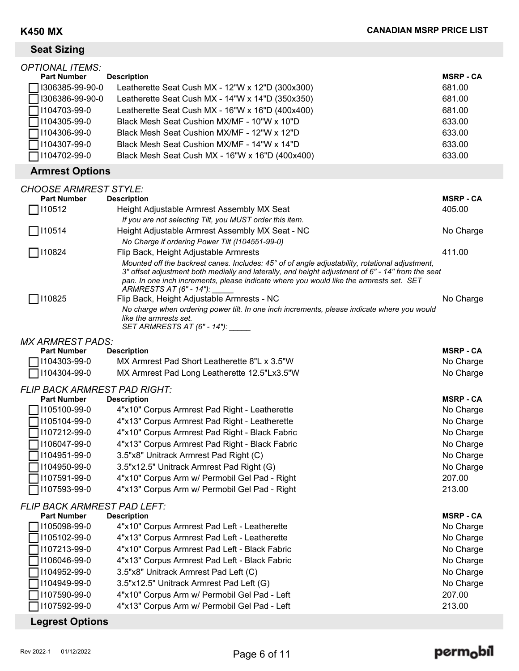| <b>Seat Sizing</b>                                                                                                                                                                               |                                                                                                                                                                                                                                                                                                                                                                                                                   |                                                                                                                    |
|--------------------------------------------------------------------------------------------------------------------------------------------------------------------------------------------------|-------------------------------------------------------------------------------------------------------------------------------------------------------------------------------------------------------------------------------------------------------------------------------------------------------------------------------------------------------------------------------------------------------------------|--------------------------------------------------------------------------------------------------------------------|
| <b>OPTIONAL ITEMS:</b><br><b>Part Number</b><br>I306385-99-90-0<br>I306386-99-90-0<br>1104703-99-0<br>1104305-99-0<br>1104306-99-0<br>1104307-99-0<br>1104702-99-0                               | <b>Description</b><br>Leatherette Seat Cush MX - 12"W x 12"D (300x300)<br>Leatherette Seat Cush MX - 14"W x 14"D (350x350)<br>Leatherette Seat Cush MX - 16"W x 16"D (400x400)<br>Black Mesh Seat Cushion MX/MF - 10"W x 10"D<br>Black Mesh Seat Cushion MX/MF - 12"W x 12"D<br>Black Mesh Seat Cushion MX/MF - 14"W x 14"D<br>Black Mesh Seat Cush MX - 16"W x 16"D (400x400)                                    | <b>MSRP - CA</b><br>681.00<br>681.00<br>681.00<br>633.00<br>633.00<br>633.00<br>633.00                             |
| <b>Armrest Options</b>                                                                                                                                                                           |                                                                                                                                                                                                                                                                                                                                                                                                                   |                                                                                                                    |
| <b>CHOOSE ARMREST STYLE:</b><br><b>Part Number</b><br>□ 110512                                                                                                                                   | <b>Description</b><br>Height Adjustable Armrest Assembly MX Seat<br>If you are not selecting Tilt, you MUST order this item.                                                                                                                                                                                                                                                                                      | <b>MSRP - CA</b><br>405.00                                                                                         |
| 7110514                                                                                                                                                                                          | Height Adjustable Armrest Assembly MX Seat - NC                                                                                                                                                                                                                                                                                                                                                                   | No Charge                                                                                                          |
| $\Box$ I10824                                                                                                                                                                                    | No Charge if ordering Power Tilt (1104551-99-0)<br>Flip Back, Height Adjustable Armrests<br>Mounted off the backrest canes. Includes: 45° of of angle adjustability, rotational adjustment,<br>3" offset adjustment both medially and laterally, and height adjustment of 6" - 14" from the seat<br>pan. In one inch increments, please indicate where you would like the armrests set. SET                       | 411.00                                                                                                             |
| 110825                                                                                                                                                                                           | ARMRESTS AT (6" - 14"):<br>Flip Back, Height Adjustable Armrests - NC<br>No charge when ordering power tilt. In one inch increments, please indicate where you would<br>like the armrests set.<br>SET ARMRESTS AT (6" - 14"): _____                                                                                                                                                                               | No Charge                                                                                                          |
| <b>MX ARMREST PADS:</b>                                                                                                                                                                          |                                                                                                                                                                                                                                                                                                                                                                                                                   |                                                                                                                    |
| <b>Part Number</b><br>1104303-99-0                                                                                                                                                               | <b>Description</b><br>MX Armrest Pad Short Leatherette 8"L x 3.5"W                                                                                                                                                                                                                                                                                                                                                | <b>MSRP - CA</b><br>No Charge                                                                                      |
| 1104304-99-0                                                                                                                                                                                     | MX Armrest Pad Long Leatherette 12.5"Lx3.5"W                                                                                                                                                                                                                                                                                                                                                                      | No Charge                                                                                                          |
| <b>FLIP BACK ARMREST PAD RIGHT:</b><br><b>Part Number</b><br>1105100-99-0<br>$\Box$ I105104-99-0<br>1107212-99-0<br>1106047-99-0<br>1104951-99-0<br>1104950-99-0<br>1107591-99-0<br>1107593-99-0 | <b>Description</b><br>4"x10" Corpus Armrest Pad Right - Leatherette<br>4"x13" Corpus Armrest Pad Right - Leatherette<br>4"x10" Corpus Armrest Pad Right - Black Fabric<br>4"x13" Corpus Armrest Pad Right - Black Fabric<br>3.5"x8" Unitrack Armrest Pad Right (C)<br>3.5"x12.5" Unitrack Armrest Pad Right (G)<br>4"x10" Corpus Arm w/ Permobil Gel Pad - Right<br>4"x13" Corpus Arm w/ Permobil Gel Pad - Right | <b>MSRP - CA</b><br>No Charge<br>No Charge<br>No Charge<br>No Charge<br>No Charge<br>No Charge<br>207.00<br>213.00 |
| <b>FLIP BACK ARMREST PAD LEFT:</b><br><b>Part Number</b>                                                                                                                                         | <b>Description</b>                                                                                                                                                                                                                                                                                                                                                                                                | <b>MSRP - CA</b>                                                                                                   |

| $\Box$ I105098-99-0    | 4"x10" Corpus Armrest Pad Left - Leatherette  | No Charge |
|------------------------|-----------------------------------------------|-----------|
| $\Box$ I105102-99-0    | 4"x13" Corpus Armrest Pad Left - Leatherette  | No Charge |
| $\Box$ I107213-99-0    | 4"x10" Corpus Armrest Pad Left - Black Fabric | No Charge |
| $\Box$ I106046-99-0    | 4"x13" Corpus Armrest Pad Left - Black Fabric | No Charge |
| $\Box$ I104952-99-0    | 3.5"x8" Unitrack Armrest Pad Left (C)         | No Charge |
| $\Box$ I104949-99-0    | 3.5"x12.5" Unitrack Armrest Pad Left (G)      | No Charge |
| $\Box$ I107590-99-0    | 4"x10" Corpus Arm w/ Permobil Gel Pad - Left  | 207.00    |
| $\Box$ I107592-99-0    | 4"x13" Corpus Arm w/ Permobil Gel Pad - Left  | 213.00    |
| <b>Legrest Options</b> |                                               |           |

# $\mathsf{perm}_\mathsf{O}$ bil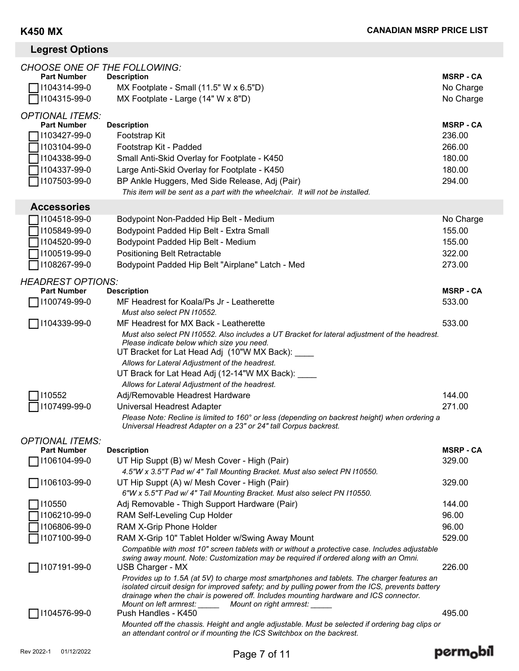perm<sub>o</sub>bil

# **Legrest Options**

| <b>CHOOSE ONE OF THE FOLLOWING:</b>          |                                                                                                                                                                                        |                  |
|----------------------------------------------|----------------------------------------------------------------------------------------------------------------------------------------------------------------------------------------|------------------|
| <b>Part Number</b>                           | <b>Description</b>                                                                                                                                                                     | <b>MSRP - CA</b> |
| 1104314-99-0                                 | MX Footplate - Small (11.5" W x 6.5"D)                                                                                                                                                 | No Charge        |
| 1104315-99-0                                 | MX Footplate - Large (14" W x 8"D)                                                                                                                                                     | No Charge        |
| <b>OPTIONAL ITEMS:</b>                       |                                                                                                                                                                                        |                  |
| <b>Part Number</b>                           | <b>Description</b>                                                                                                                                                                     | <b>MSRP - CA</b> |
| 1103427-99-0                                 | Footstrap Kit                                                                                                                                                                          | 236.00           |
| 1103104-99-0                                 | Footstrap Kit - Padded                                                                                                                                                                 | 266.00           |
| 1104338-99-0                                 | Small Anti-Skid Overlay for Footplate - K450                                                                                                                                           | 180.00           |
| 1104337-99-0                                 | Large Anti-Skid Overlay for Footplate - K450                                                                                                                                           | 180.00           |
| 1107503-99-0                                 | BP Ankle Huggers, Med Side Release, Adj (Pair)                                                                                                                                         | 294.00           |
|                                              | This item will be sent as a part with the wheelchair. It will not be installed.                                                                                                        |                  |
| <b>Accessories</b>                           |                                                                                                                                                                                        |                  |
| 1104518-99-0                                 | Bodypoint Non-Padded Hip Belt - Medium                                                                                                                                                 | No Charge        |
| 1105849-99-0                                 | Bodypoint Padded Hip Belt - Extra Small                                                                                                                                                | 155.00           |
| 1104520-99-0                                 | Bodypoint Padded Hip Belt - Medium                                                                                                                                                     | 155.00           |
| 1100519-99-0                                 | <b>Positioning Belt Retractable</b>                                                                                                                                                    | 322.00           |
| 1108267-99-0                                 | Bodypoint Padded Hip Belt "Airplane" Latch - Med                                                                                                                                       | 273.00           |
| <b>HEADREST OPTIONS:</b>                     |                                                                                                                                                                                        |                  |
| <b>Part Number</b>                           | <b>Description</b>                                                                                                                                                                     | <b>MSRP - CA</b> |
| 1100749-99-0                                 | MF Headrest for Koala/Ps Jr - Leatherette                                                                                                                                              | 533.00           |
|                                              | Must also select PN 110552.                                                                                                                                                            |                  |
| 1104339-99-0                                 | MF Headrest for MX Back - Leatherette                                                                                                                                                  | 533.00           |
|                                              | Must also select PN I10552. Also includes a UT Bracket for lateral adjustment of the headrest.<br>Please indicate below which size you need.                                           |                  |
|                                              | UT Bracket for Lat Head Adj (10"W MX Back): ____                                                                                                                                       |                  |
|                                              | Allows for Lateral Adjustment of the headrest.                                                                                                                                         |                  |
|                                              | UT Brack for Lat Head Adj (12-14"W MX Back): ____                                                                                                                                      |                  |
|                                              | Allows for Lateral Adjustment of the headrest.                                                                                                                                         |                  |
| 110552                                       | Adj/Removable Headrest Hardware                                                                                                                                                        | 144.00           |
| 1107499-99-0                                 | Universal Headrest Adapter                                                                                                                                                             | 271.00           |
|                                              | Please Note: Recline is limited to 160° or less (depending on backrest height) when ordering a<br>Universal Headrest Adapter on a 23" or 24" tall Corpus backrest.                     |                  |
|                                              |                                                                                                                                                                                        |                  |
| <b>OPTIONAL ITEMS:</b><br><b>Part Number</b> | <b>Description</b>                                                                                                                                                                     | <b>MSRP - CA</b> |
| 1106104-99-0                                 | UT Hip Suppt (B) w/ Mesh Cover - High (Pair)                                                                                                                                           | 329.00           |
|                                              | 4.5"W x 3.5"T Pad w/ 4" Tall Mounting Bracket. Must also select PN I10550.                                                                                                             |                  |
| 1106103-99-0                                 | UT Hip Suppt (A) w/ Mesh Cover - High (Pair)                                                                                                                                           | 329.00           |
|                                              | 6"W x 5.5"T Pad w/ 4" Tall Mounting Bracket. Must also select PN I10550.                                                                                                               |                  |
| 110550                                       | Adj Removable - Thigh Support Hardware (Pair)                                                                                                                                          | 144.00           |
| 1106210-99-0                                 | RAM Self-Leveling Cup Holder                                                                                                                                                           | 96.00            |
| 1106806-99-0                                 | RAM X-Grip Phone Holder                                                                                                                                                                | 96.00            |
| 1107100-99-0                                 | RAM X-Grip 10" Tablet Holder w/Swing Away Mount                                                                                                                                        | 529.00           |
|                                              | Compatible with most 10" screen tablets with or without a protective case. Includes adjustable<br>swing away mount. Note: Customization may be required if ordered along with an Omni. |                  |
| 1107191-99-0                                 | USB Charger - MX                                                                                                                                                                       | 226.00           |
|                                              | Provides up to 1.5A (at 5V) to charge most smartphones and tablets. The charger features an                                                                                            |                  |
|                                              | isolated circuit design for improved safety; and by pulling power from the ICS, prevents battery                                                                                       |                  |
|                                              | drainage when the chair is powered off. Includes mounting hardware and ICS connector.<br>Mount on left armrest: _______ Mount on right armrest: _____                                  |                  |
| 1104576-99-0                                 | Push Handles - K450                                                                                                                                                                    | 495.00           |
|                                              | Mounted off the chassis. Height and angle adjustable. Must be selected if ordering bag clips or                                                                                        |                  |
|                                              | an attendant control or if mounting the ICS Switchbox on the backrest.                                                                                                                 |                  |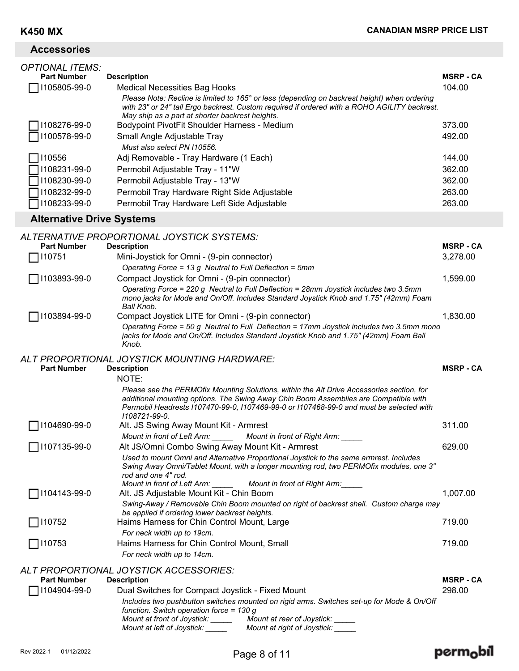| <b>OPTIONAL ITEMS:</b><br><b>Part Number</b><br>1105805-99-0 | <b>Description</b><br><b>Medical Necessities Bag Hooks</b><br>Please Note: Recline is limited to 165° or less (depending on backrest height) when ordering<br>with 23" or 24" tall Ergo backrest. Custom required if ordered with a ROHO AGILITY backrest.                                    | <b>MSRP - CA</b><br>104.00           |
|--------------------------------------------------------------|-----------------------------------------------------------------------------------------------------------------------------------------------------------------------------------------------------------------------------------------------------------------------------------------------|--------------------------------------|
| 1108276-99-0<br>1100578-99-0                                 | May ship as a part at shorter backrest heights.<br>Bodypoint PivotFit Shoulder Harness - Medium<br>Small Angle Adjustable Tray<br>Must also select PN I10556.                                                                                                                                 | 373.00<br>492.00                     |
| 110556<br>1108231-99-0<br>1108230-99-0<br>1108232-99-0       | Adj Removable - Tray Hardware (1 Each)<br>Permobil Adjustable Tray - 11"W<br>Permobil Adjustable Tray - 13"W<br>Permobil Tray Hardware Right Side Adjustable                                                                                                                                  | 144.00<br>362.00<br>362.00<br>263.00 |
| 1108233-99-0                                                 | Permobil Tray Hardware Left Side Adjustable                                                                                                                                                                                                                                                   | 263.00                               |
| <b>Alternative Drive Systems</b>                             |                                                                                                                                                                                                                                                                                               |                                      |
| <b>Part Number</b><br>110751                                 | ALTERNATIVE PROPORTIONAL JOYSTICK SYSTEMS:<br><b>Description</b><br>Mini-Joystick for Omni - (9-pin connector)                                                                                                                                                                                | <b>MSRP - CA</b><br>3,278.00         |
| 1103893-99-0                                                 | Operating Force = 13 g Neutral to Full Deflection = 5mm<br>Compact Joystick for Omni - (9-pin connector)<br>Operating Force = 220 g Neutral to Full Deflection = 28mm Joystick includes two 3.5mm<br>mono jacks for Mode and On/Off. Includes Standard Joystick Knob and 1.75" (42mm) Foam    | 1,599.00                             |
| 1103894-99-0                                                 | Ball Knob.<br>Compact Joystick LITE for Omni - (9-pin connector)<br>Operating Force = 50 g Neutral to Full Deflection = 17mm Joystick includes two 3.5mm mono<br>jacks for Mode and On/Off. Includes Standard Joystick Knob and 1.75" (42mm) Foam Ball<br>Knob.                               | 1,830.00                             |
| <b>Part Number</b>                                           | ALT PROPORTIONAL JOYSTICK MOUNTING HARDWARE:<br><b>Description</b><br>NOTE:                                                                                                                                                                                                                   | <b>MSRP - CA</b>                     |
|                                                              | Please see the PERMOfix Mounting Solutions, within the Alt Drive Accessories section, for<br>additional mounting options. The Swing Away Chin Boom Assemblies are Compatible with<br>Permobil Headrests I107470-99-0, I107469-99-0 or I107468-99-0 and must be selected with<br>1108721-99-0. |                                      |
| 1104690-99-0                                                 | Alt. JS Swing Away Mount Kit - Armrest<br>Mount in front of Left Arm:<br>Mount in front of Right Arm:                                                                                                                                                                                         | 311.00                               |

| <b>Part Number</b>  | <b>Description</b>                                                                            |                                                                                                                                                                                  | <b>MSRP - CA</b> |
|---------------------|-----------------------------------------------------------------------------------------------|----------------------------------------------------------------------------------------------------------------------------------------------------------------------------------|------------------|
|                     | ALT PROPORTIONAL JOYSTICK ACCESSORIES:                                                        |                                                                                                                                                                                  |                  |
|                     | For neck width up to 14cm.                                                                    |                                                                                                                                                                                  |                  |
| $\Box$ I10753       | Haims Harness for Chin Control Mount, Small                                                   |                                                                                                                                                                                  | 719.00           |
|                     | For neck width up to 19cm.                                                                    |                                                                                                                                                                                  |                  |
| $\Box$ 110752       | be applied if ordering lower backrest heights.<br>Haims Harness for Chin Control Mount, Large |                                                                                                                                                                                  | 719.00           |
|                     |                                                                                               | Swing-Away / Removable Chin Boom mounted on right of backrest shell. Custom charge may                                                                                           |                  |
| $\Box$ I104143-99-0 | Alt. JS Adjustable Mount Kit - Chin Boom                                                      |                                                                                                                                                                                  | 1,007.00         |
|                     |                                                                                               | Mount in front of Left Arm: Mount in front of Right Arm:                                                                                                                         |                  |
|                     | rod and one 4" rod.                                                                           | Used to mount Omni and Alternative Proportional Joystick to the same armrest. Includes<br>Swing Away Omni/Tablet Mount, with a longer mounting rod, two PERMOfix modules, one 3" |                  |
|                     |                                                                                               |                                                                                                                                                                                  |                  |
| 1107135-99-0        | Alt JS/Omni Combo Swing Away Mount Kit - Armrest                                              |                                                                                                                                                                                  | 629.00           |
|                     |                                                                                               | Mount in front of Left Arm: _______ Mount in front of Right Arm: _____                                                                                                           |                  |

### **Part Number** Description

| $\Box$ I104904-99-0 | Dual Switches for Compact Joystick - Fixed Mount                                          | 298.00 |
|---------------------|-------------------------------------------------------------------------------------------|--------|
|                     | Includes two pushbutton switches mounted on rigid arms. Switches set-up for Mode & On/Off |        |
|                     | function. Switch operation force = 130 q                                                  |        |
|                     | Mount at rear of Joystick:<br>Mount at front of Joystick:                                 |        |
|                     | Mount at right of Joystick:<br>Mount at left of Joystick:                                 |        |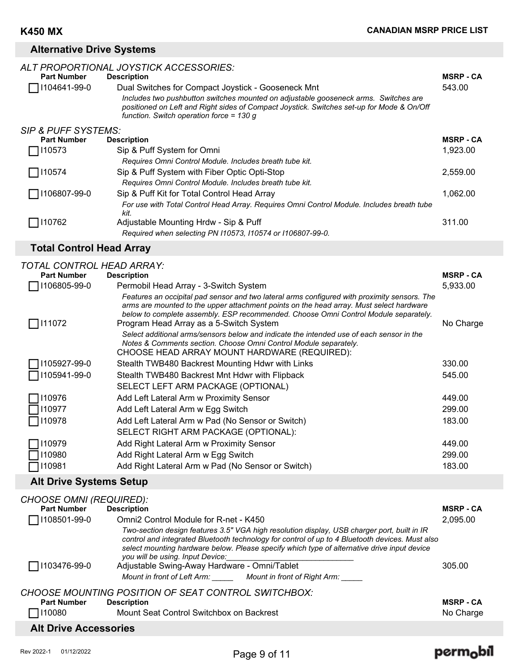## **Alternative Drive Systems**

| <b>Part Number</b><br>1104641-99-0 | ALT PROPORTIONAL JOYSTICK ACCESSORIES:<br><b>Description</b><br>Dual Switches for Compact Joystick - Gooseneck Mnt<br>Includes two pushbutton switches mounted on adjustable gooseneck arms. Switches are<br>positioned on Left and Right sides of Compact Joystick. Switches set-up for Mode & On/Off<br>function. Switch operation force = $130 g$ | <b>MSRP - CA</b><br>543.00 |
|------------------------------------|------------------------------------------------------------------------------------------------------------------------------------------------------------------------------------------------------------------------------------------------------------------------------------------------------------------------------------------------------|----------------------------|
| <b>SIP &amp; PUFF SYSTEMS:</b>     |                                                                                                                                                                                                                                                                                                                                                      |                            |
| <b>Part Number</b>                 | <b>Description</b>                                                                                                                                                                                                                                                                                                                                   | <b>MSRP - CA</b>           |
| 110573                             | Sip & Puff System for Omni                                                                                                                                                                                                                                                                                                                           | 1,923.00                   |
|                                    | Requires Omni Control Module. Includes breath tube kit.                                                                                                                                                                                                                                                                                              |                            |
| □ 110574                           | Sip & Puff System with Fiber Optic Opti-Stop                                                                                                                                                                                                                                                                                                         | 2.559.00                   |
|                                    | Requires Omni Control Module. Includes breath tube kit.                                                                                                                                                                                                                                                                                              |                            |
| 1106807-99-0                       | Sip & Puff Kit for Total Control Head Array                                                                                                                                                                                                                                                                                                          | 1,062.00                   |
|                                    | For use with Total Control Head Array. Requires Omni Control Module. Includes breath tube<br>kit.                                                                                                                                                                                                                                                    |                            |
| 110762                             | Adjustable Mounting Hrdw - Sip & Puff                                                                                                                                                                                                                                                                                                                | 311.00                     |
|                                    | Required when selecting PN 110573, 110574 or 1106807-99-0.                                                                                                                                                                                                                                                                                           |                            |
|                                    |                                                                                                                                                                                                                                                                                                                                                      |                            |

# **Total Control Head Array**

| TOTAL CONTROL HEAD ARRAY: |                                                                                                                                                                                                                                                                                                                           |                  |
|---------------------------|---------------------------------------------------------------------------------------------------------------------------------------------------------------------------------------------------------------------------------------------------------------------------------------------------------------------------|------------------|
| <b>Part Number</b>        | <b>Description</b>                                                                                                                                                                                                                                                                                                        | <b>MSRP - CA</b> |
| 106805-99-0               | Permobil Head Array - 3-Switch System                                                                                                                                                                                                                                                                                     | 5,933.00         |
| 111072                    | Features an occipital pad sensor and two lateral arms configured with proximity sensors. The<br>arms are mounted to the upper attachment points on the head array. Must select hardware<br>below to complete assembly. ESP recommended. Choose Omni Control Module separately.<br>Program Head Array as a 5-Switch System | No Charge        |
|                           | Select additional arms/sensors below and indicate the intended use of each sensor in the<br>Notes & Comments section. Choose Omni Control Module separately.<br>CHOOSE HEAD ARRAY MOUNT HARDWARE (REQUIRED):                                                                                                              |                  |
| 105927-99-0               | Stealth TWB480 Backrest Mounting Hdwr with Links                                                                                                                                                                                                                                                                          | 330.00           |
| 105941-99-0               | Stealth TWB480 Backrest Mnt Hdwr with Flipback                                                                                                                                                                                                                                                                            | 545.00           |
|                           | SELECT LEFT ARM PACKAGE (OPTIONAL)                                                                                                                                                                                                                                                                                        |                  |
| 10976                     | Add Left Lateral Arm w Proximity Sensor                                                                                                                                                                                                                                                                                   | 449.00           |
| 110977                    | Add Left Lateral Arm w Egg Switch                                                                                                                                                                                                                                                                                         | 299.00           |
| 110978                    | Add Left Lateral Arm w Pad (No Sensor or Switch)                                                                                                                                                                                                                                                                          | 183.00           |
|                           | SELECT RIGHT ARM PACKAGE (OPTIONAL):                                                                                                                                                                                                                                                                                      |                  |
| 10979                     | Add Right Lateral Arm w Proximity Sensor                                                                                                                                                                                                                                                                                  | 449.00           |
| 10980                     | Add Right Lateral Arm w Egg Switch                                                                                                                                                                                                                                                                                        | 299.00           |
| 10981                     | Add Right Lateral Arm w Pad (No Sensor or Switch)                                                                                                                                                                                                                                                                         | 183.00           |

# **Alt Drive Systems Setup**

| <b>CHOOSE OMNI (REQUIRED):</b> |                                                                                                                                                                                                                                                                                                                                   |                  |
|--------------------------------|-----------------------------------------------------------------------------------------------------------------------------------------------------------------------------------------------------------------------------------------------------------------------------------------------------------------------------------|------------------|
| <b>Part Number</b>             | <b>Description</b>                                                                                                                                                                                                                                                                                                                | <b>MSRP - CA</b> |
| 1108501-99-0                   | Omni2 Control Module for R-net - K450                                                                                                                                                                                                                                                                                             | 2,095.00         |
|                                | Two-section design features 3.5" VGA high resolution display, USB charger port, built in IR<br>control and integrated Bluetooth technology for control of up to 4 Bluetooth devices. Must also<br>select mounting hardware below. Please specify which type of alternative drive input device<br>you will be using. Input Device: |                  |
| □ 1103476-99-0                 | Adjustable Swing-Away Hardware - Omni/Tablet                                                                                                                                                                                                                                                                                      | 305.00           |
|                                | Mount in front of Left Arm: Mount in front of Right Arm:                                                                                                                                                                                                                                                                          |                  |
| <b>Part Number</b>             | CHOOSE MOUNTING POSITION OF SEAT CONTROL SWITCHBOX:<br><b>Description</b>                                                                                                                                                                                                                                                         | <b>MSRP - CA</b> |
| $\Box$ 110080                  | Mount Seat Control Switchbox on Backrest                                                                                                                                                                                                                                                                                          | No Charge        |
|                                |                                                                                                                                                                                                                                                                                                                                   |                  |
| <b>Alt Drive Accessories</b>   |                                                                                                                                                                                                                                                                                                                                   |                  |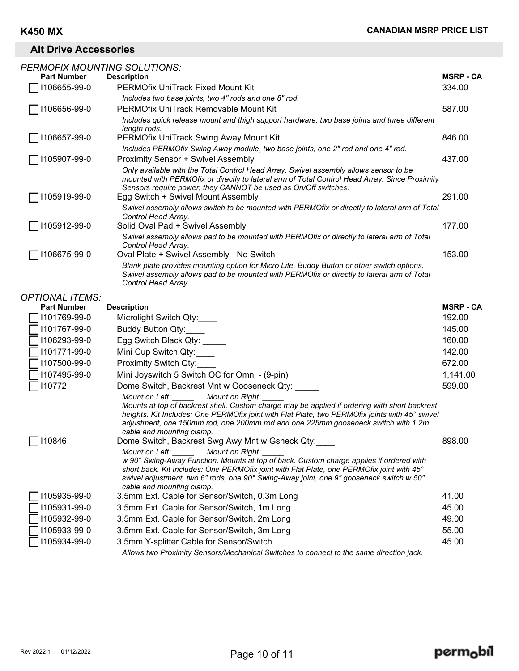# **Alt Drive Accessories**

| <b>PERMOFIX MOUNTING SOLUTIONS:</b> |                                                                                                                                                                                                                                                                                                                                                        |                  |
|-------------------------------------|--------------------------------------------------------------------------------------------------------------------------------------------------------------------------------------------------------------------------------------------------------------------------------------------------------------------------------------------------------|------------------|
| <b>Part Number</b>                  | <b>Description</b>                                                                                                                                                                                                                                                                                                                                     | <b>MSRP - CA</b> |
| 1106655-99-0                        | <b>PERMOfix UniTrack Fixed Mount Kit</b>                                                                                                                                                                                                                                                                                                               | 334.00           |
|                                     | Includes two base joints, two 4" rods and one 8" rod.                                                                                                                                                                                                                                                                                                  |                  |
| 1106656-99-0                        | PERMOfix UniTrack Removable Mount Kit                                                                                                                                                                                                                                                                                                                  | 587.00           |
|                                     | Includes quick release mount and thigh support hardware, two base joints and three different<br>length rods.                                                                                                                                                                                                                                           |                  |
| 1106657-99-0                        | PERMOfix UniTrack Swing Away Mount Kit                                                                                                                                                                                                                                                                                                                 | 846.00           |
|                                     | Includes PERMOfix Swing Away module, two base joints, one 2" rod and one 4" rod.                                                                                                                                                                                                                                                                       |                  |
| 1105907-99-0                        | Proximity Sensor + Swivel Assembly                                                                                                                                                                                                                                                                                                                     | 437.00           |
|                                     | Only available with the Total Control Head Array. Swivel assembly allows sensor to be<br>mounted with PERMOfix or directly to lateral arm of Total Control Head Array. Since Proximity<br>Sensors require power, they CANNOT be used as On/Off switches.                                                                                               |                  |
| 1105919-99-0                        | Egg Switch + Swivel Mount Assembly                                                                                                                                                                                                                                                                                                                     | 291.00           |
|                                     | Swivel assembly allows switch to be mounted with PERMOfix or directly to lateral arm of Total<br>Control Head Array.                                                                                                                                                                                                                                   |                  |
| 1105912-99-0                        | Solid Oval Pad + Swivel Assembly                                                                                                                                                                                                                                                                                                                       | 177.00           |
|                                     | Swivel assembly allows pad to be mounted with PERMOfix or directly to lateral arm of Total<br>Control Head Array.                                                                                                                                                                                                                                      |                  |
| 1106675-99-0                        | Oval Plate + Swivel Assembly - No Switch                                                                                                                                                                                                                                                                                                               | 153.00           |
|                                     | Blank plate provides mounting option for Micro Lite, Buddy Button or other switch options.<br>Swivel assembly allows pad to be mounted with PERMOfix or directly to lateral arm of Total<br>Control Head Array.                                                                                                                                        |                  |
| <b>OPTIONAL ITEMS:</b>              |                                                                                                                                                                                                                                                                                                                                                        |                  |
| <b>Part Number</b>                  | <b>Description</b>                                                                                                                                                                                                                                                                                                                                     | <b>MSRP - CA</b> |
| 1101769-99-0                        | Microlight Switch Qty:                                                                                                                                                                                                                                                                                                                                 | 192.00           |
| 1101767-99-0                        | Buddy Button Qty:                                                                                                                                                                                                                                                                                                                                      | 145.00           |
| 1106293-99-0                        | Egg Switch Black Qty:                                                                                                                                                                                                                                                                                                                                  | 160.00           |
| 1101771-99-0                        | Mini Cup Switch Qty:                                                                                                                                                                                                                                                                                                                                   | 142.00           |
| 1107500-99-0                        | Proximity Switch Qty:                                                                                                                                                                                                                                                                                                                                  | 672.00           |
| 1107495-99-0                        | Mini Joyswitch 5 Switch OC for Omni - (9-pin)                                                                                                                                                                                                                                                                                                          | 1,141.00         |
| 110772                              | Dome Switch, Backrest Mnt w Gooseneck Qty:                                                                                                                                                                                                                                                                                                             | 599.00           |
|                                     | Mount on Left:<br>Mount on Right:<br>Mounts at top of backrest shell. Custom charge may be applied if ordering with short backrest<br>heights. Kit Includes: One PERMOfix joint with Flat Plate, two PERMOfix joints with 45° swivel<br>adjustment, one 150mm rod, one 200mm rod and one 225mm gooseneck switch with 1.2m<br>cable and mounting clamp. |                  |
| 110846                              | Dome Switch, Backrest Swg Awy Mnt w Gsneck Qty:                                                                                                                                                                                                                                                                                                        | 898.00           |
|                                     | Mount on Right:<br>Mount on Left:<br>w 90° Swing-Away Function. Mounts at top of back. Custom charge applies if ordered with<br>short back. Kit Includes: One PERMOfix joint with Flat Plate, one PERMOfix joint with 45°<br>swivel adjustment, two 6" rods, one 90° Swing-Away joint, one 9" gooseneck switch w 50"<br>cable and mounting clamp.      |                  |
| 1105935-99-0                        | 3.5mm Ext. Cable for Sensor/Switch, 0.3m Long                                                                                                                                                                                                                                                                                                          | 41.00            |
| 1105931-99-0                        | 3.5mm Ext. Cable for Sensor/Switch, 1m Long                                                                                                                                                                                                                                                                                                            | 45.00            |
| 1105932-99-0                        | 3.5mm Ext. Cable for Sensor/Switch, 2m Long                                                                                                                                                                                                                                                                                                            | 49.00            |
| 1105933-99-0                        | 3.5mm Ext. Cable for Sensor/Switch, 3m Long                                                                                                                                                                                                                                                                                                            | 55.00            |
| 1105934-99-0                        | 3.5mm Y-splitter Cable for Sensor/Switch                                                                                                                                                                                                                                                                                                               | 45.00            |
|                                     | Allows two Proximity Sensors/Mechanical Switches to connect to the same direction jack.                                                                                                                                                                                                                                                                |                  |